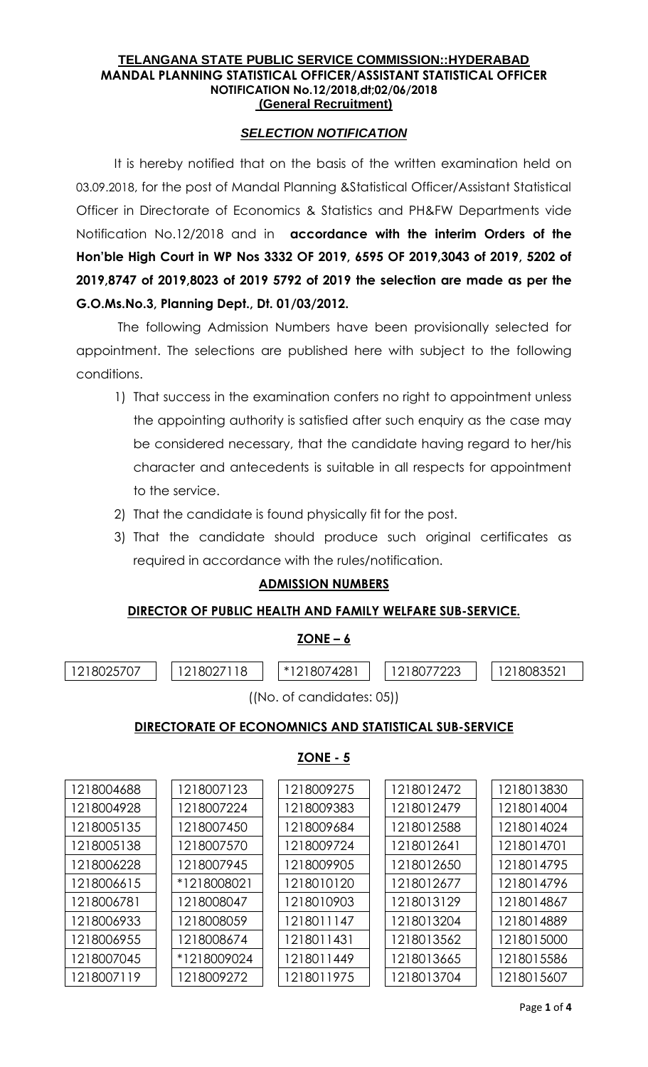#### **TELANGANA STATE PUBLIC SERVICE COMMISSION::HYDERABAD MANDAL PLANNING STATISTICAL OFFICER/ASSISTANT STATISTICAL OFFICER NOTIFICATION No.12/2018,dt;02/06/2018 (General Recruitment)**

### *SELECTION NOTIFICATION*

It is hereby notified that on the basis of the written examination held on 03.09.2018, for the post of Mandal Planning &Statistical Officer/Assistant Statistical Officer in Directorate of Economics & Statistics and PH&FW Departments vide Notification No.12/2018 and in **accordance with the interim Orders of the Hon'ble High Court in WP Nos 3332 OF 2019, 6595 OF 2019,3043 of 2019, 5202 of 2019,8747 of 2019,8023 of 2019 5792 of 2019 the selection are made as per the G.O.Ms.No.3, Planning Dept., Dt. 01/03/2012.**

The following Admission Numbers have been provisionally selected for appointment. The selections are published here with subject to the following conditions.

- 1) That success in the examination confers no right to appointment unless the appointing authority is satisfied after such enquiry as the case may be considered necessary, that the candidate having regard to her/his character and antecedents is suitable in all respects for appointment to the service.
- 2) That the candidate is found physically fit for the post.
- 3) That the candidate should produce such original certificates as required in accordance with the rules/notification.

## **ADMISSION NUMBERS**

### **DIRECTOR OF PUBLIC HEALTH AND FAMILY WELFARE SUB-SERVICE.**

### $ZONE - 6$

| 1218025707                                                                                                                                                                                                                                                                                                                                              | 118<br>.8027 | 18074281<br>$*1$ $\sim$ | ' 8C | 808352 |  |  |  |  |
|---------------------------------------------------------------------------------------------------------------------------------------------------------------------------------------------------------------------------------------------------------------------------------------------------------------------------------------------------------|--------------|-------------------------|------|--------|--|--|--|--|
| $I(\lambda) = -1$ and $\lambda$ and $\lambda$ and $\lambda$ and $\lambda$ and $\lambda$ and $\lambda$ and $\lambda$ and $\lambda$ and $\lambda$ and $\lambda$ and $\lambda$ and $\lambda$ and $\lambda$ and $\lambda$ and $\lambda$ and $\lambda$ and $\lambda$ and $\lambda$ and $\lambda$ and $\lambda$ and $\lambda$ and $\lambda$ and $\lambda$ and |              |                         |      |        |  |  |  |  |

# ((No. of candidates: 05))

## **DIRECTORATE OF ECONOMNICS AND STATISTICAL SUB-SERVICE**

## **ZONE - 5**

| 1218004688 | 1218007123  | 1218009275 | 1218012472 | 1218013830 |
|------------|-------------|------------|------------|------------|
| 1218004928 | 1218007224  | 1218009383 | 1218012479 | 1218014004 |
| 1218005135 | 1218007450  | 1218009684 | 1218012588 | 1218014024 |
| 1218005138 | 1218007570  | 1218009724 | 1218012641 | 1218014701 |
| 1218006228 | 1218007945  | 1218009905 | 1218012650 | 1218014795 |
| 1218006615 | *1218008021 | 1218010120 | 1218012677 | 1218014796 |
| 1218006781 | 1218008047  | 1218010903 | 1218013129 | 1218014867 |
| 1218006933 | 1218008059  | 1218011147 | 1218013204 | 1218014889 |
| 1218006955 | 1218008674  | 1218011431 | 1218013562 | 1218015000 |
| 1218007045 | *1218009024 | 1218011449 | 1218013665 | 1218015586 |
| 1218007119 | 1218009272  | 1218011975 | 1218013704 | 1218015607 |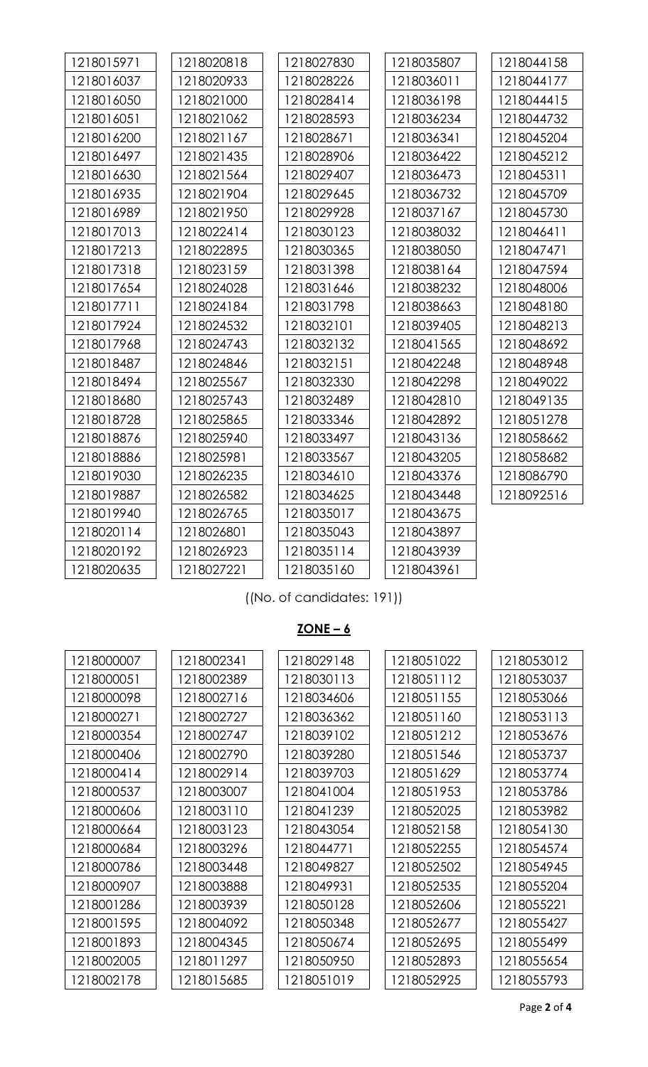| 1218015971 | 1218020818 | 1218027830 | 1218035807 | 1218044158 |
|------------|------------|------------|------------|------------|
| 1218016037 | 1218020933 | 1218028226 | 1218036011 | 1218044177 |
| 1218016050 | 1218021000 | 1218028414 | 1218036198 | 1218044415 |
| 1218016051 | 1218021062 | 1218028593 | 1218036234 | 1218044732 |
| 1218016200 | 1218021167 | 1218028671 | 1218036341 | 1218045204 |
| 1218016497 | 1218021435 | 1218028906 | 1218036422 | 1218045212 |
| 1218016630 | 1218021564 | 1218029407 | 1218036473 | 1218045311 |
| 1218016935 | 1218021904 | 1218029645 | 1218036732 | 1218045709 |
| 1218016989 | 1218021950 | 1218029928 | 1218037167 | 1218045730 |
| 1218017013 | 1218022414 | 1218030123 | 1218038032 | 1218046411 |
| 1218017213 | 1218022895 | 1218030365 | 1218038050 | 1218047471 |
| 1218017318 | 1218023159 | 1218031398 | 1218038164 | 1218047594 |
| 1218017654 | 1218024028 | 1218031646 | 1218038232 | 1218048006 |
| 1218017711 | 1218024184 | 1218031798 | 1218038663 | 1218048180 |
| 1218017924 | 1218024532 | 1218032101 | 1218039405 | 1218048213 |
| 1218017968 | 1218024743 | 1218032132 | 1218041565 | 1218048692 |
| 1218018487 | 1218024846 | 1218032151 | 1218042248 | 1218048948 |
| 1218018494 | 1218025567 | 1218032330 | 1218042298 | 1218049022 |
| 1218018680 | 1218025743 | 1218032489 | 1218042810 | 1218049135 |
| 1218018728 | 1218025865 | 1218033346 | 1218042892 | 1218051278 |
| 1218018876 | 1218025940 | 1218033497 | 1218043136 | 1218058662 |
| 1218018886 | 1218025981 | 1218033567 | 1218043205 | 1218058682 |
| 1218019030 | 1218026235 | 1218034610 | 1218043376 | 1218086790 |
| 1218019887 | 1218026582 | 1218034625 | 1218043448 | 1218092516 |
| 1218019940 | 1218026765 | 1218035017 | 1218043675 |            |
| 1218020114 | 1218026801 | 1218035043 | 1218043897 |            |
| 1218020192 | 1218026923 | 1218035114 | 1218043939 |            |
| 1218020635 | 1218027221 | 1218035160 | 1218043961 |            |

((No. of candidates: 191))

## **ZONE – 6**

| 1218000007 | 1218002341 | 1218029148 | 1218051022 | 1218053012 |
|------------|------------|------------|------------|------------|
| 1218000051 | 1218002389 | 1218030113 | 1218051112 | 1218053037 |
| 1218000098 | 1218002716 | 1218034606 | 1218051155 | 1218053066 |
| 1218000271 | 1218002727 | 1218036362 | 1218051160 | 1218053113 |
| 1218000354 | 1218002747 | 1218039102 | 1218051212 | 1218053676 |
| 1218000406 | 1218002790 | 1218039280 | 1218051546 | 1218053737 |
| 1218000414 | 1218002914 | 1218039703 | 1218051629 | 1218053774 |
| 1218000537 | 1218003007 | 1218041004 | 1218051953 | 1218053786 |
| 1218000606 | 1218003110 | 1218041239 | 1218052025 | 1218053982 |
| 1218000664 | 1218003123 | 1218043054 | 1218052158 | 1218054130 |
| 1218000684 | 1218003296 | 1218044771 | 1218052255 | 1218054574 |
| 1218000786 | 1218003448 | 1218049827 | 1218052502 | 1218054945 |
| 1218000907 | 1218003888 | 1218049931 | 1218052535 | 1218055204 |
| 1218001286 | 1218003939 | 1218050128 | 1218052606 | 1218055221 |
| 1218001595 | 1218004092 | 1218050348 | 1218052677 | 1218055427 |
| 1218001893 | 1218004345 | 1218050674 | 1218052695 | 1218055499 |
| 1218002005 | 1218011297 | 1218050950 | 1218052893 | 1218055654 |
| 1218002178 | 1218015685 | 1218051019 | 1218052925 | 1218055793 |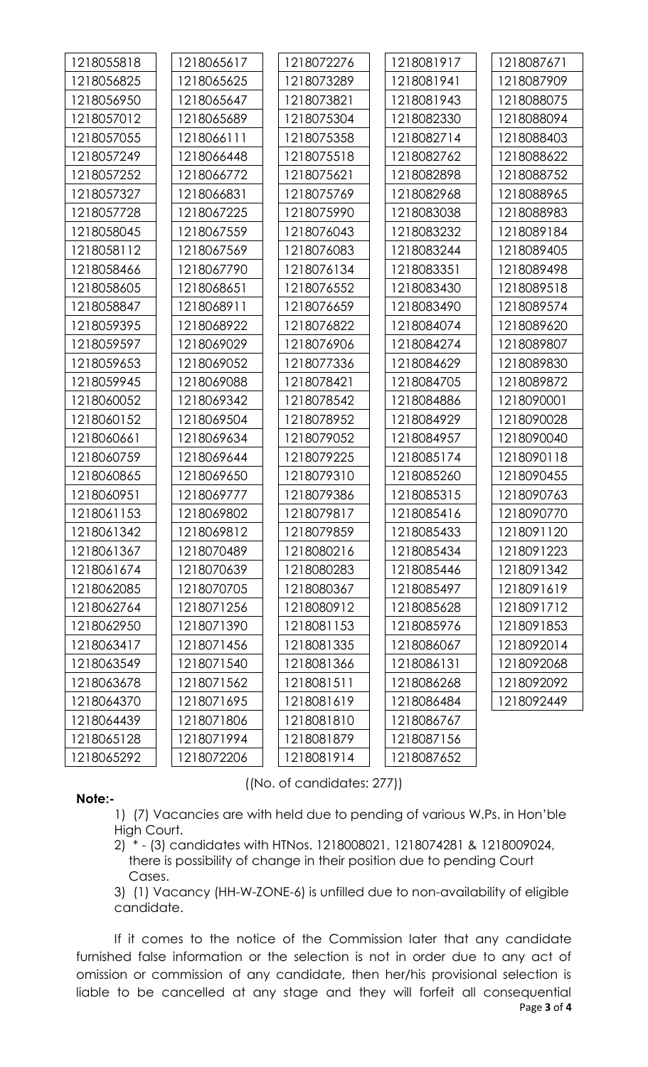| 1218055818 | 1218065617 | 1218072276 | 1218081917 | 1218087671 |
|------------|------------|------------|------------|------------|
| 1218056825 | 1218065625 | 1218073289 | 1218081941 | 1218087909 |
| 1218056950 | 1218065647 | 1218073821 | 1218081943 | 1218088075 |
| 1218057012 | 1218065689 | 1218075304 | 1218082330 | 1218088094 |
| 1218057055 | 1218066111 | 1218075358 | 1218082714 | 1218088403 |
| 1218057249 | 1218066448 | 1218075518 | 1218082762 | 1218088622 |
| 1218057252 | 1218066772 | 1218075621 | 1218082898 | 1218088752 |
| 1218057327 | 1218066831 | 1218075769 | 1218082968 | 1218088965 |
| 1218057728 | 1218067225 | 1218075990 | 1218083038 | 1218088983 |
| 1218058045 | 1218067559 | 1218076043 | 1218083232 | 1218089184 |
| 1218058112 | 1218067569 | 1218076083 | 1218083244 | 1218089405 |
| 1218058466 | 1218067790 | 1218076134 | 1218083351 | 1218089498 |
| 1218058605 | 1218068651 | 1218076552 | 1218083430 | 1218089518 |
| 1218058847 | 1218068911 | 1218076659 | 1218083490 | 1218089574 |
| 1218059395 | 1218068922 | 1218076822 | 1218084074 | 1218089620 |
| 1218059597 | 1218069029 | 1218076906 | 1218084274 | 1218089807 |
| 1218059653 | 1218069052 | 1218077336 | 1218084629 | 1218089830 |
| 1218059945 | 1218069088 | 1218078421 | 1218084705 | 1218089872 |
| 1218060052 | 1218069342 | 1218078542 | 1218084886 | 1218090001 |
| 1218060152 | 1218069504 | 1218078952 | 1218084929 | 1218090028 |
| 1218060661 | 1218069634 | 1218079052 | 1218084957 | 1218090040 |
| 1218060759 | 1218069644 | 1218079225 | 1218085174 | 1218090118 |
| 1218060865 | 1218069650 | 1218079310 | 1218085260 | 1218090455 |
| 1218060951 | 1218069777 | 1218079386 | 1218085315 | 1218090763 |
| 1218061153 | 1218069802 | 1218079817 | 1218085416 | 1218090770 |
| 1218061342 | 1218069812 | 1218079859 | 1218085433 | 1218091120 |
| 1218061367 | 1218070489 | 1218080216 | 1218085434 | 1218091223 |
| 1218061674 | 1218070639 | 1218080283 | 1218085446 | 1218091342 |
| 1218062085 | 1218070705 | 1218080367 | 1218085497 | 1218091619 |
| 1218062764 | 1218071256 | 1218080912 | 1218085628 | 1218091712 |
| 1218062950 | 1218071390 | 1218081153 | 1218085976 | 1218091853 |
| 1218063417 | 1218071456 | 1218081335 | 1218086067 | 1218092014 |
| 1218063549 | 1218071540 | 1218081366 | 1218086131 | 1218092068 |
| 1218063678 | 1218071562 | 1218081511 | 1218086268 | 1218092092 |
| 1218064370 | 1218071695 | 1218081619 | 1218086484 | 1218092449 |
| 1218064439 | 1218071806 | 1218081810 | 1218086767 |            |
| 1218065128 | 1218071994 | 1218081879 | 1218087156 |            |
| 1218065292 | 1218072206 | 1218081914 | 1218087652 |            |

### **Note:-**

((No. of candidates: 277))

- 1) (7) Vacancies are with held due to pending of various W.Ps. in Hon'ble High Court.
- 2) \* (3) candidates with HTNos. 1218008021, 1218074281 & 1218009024, there is possibility of change in their position due to pending Court Cases.

3) (1) Vacancy (HH-W-ZONE-6) is unfilled due to non-availability of eligible candidate.

Page **3** of **4** If it comes to the notice of the Commission later that any candidate furnished false information or the selection is not in order due to any act of omission or commission of any candidate, then her/his provisional selection is liable to be cancelled at any stage and they will forfeit all consequential